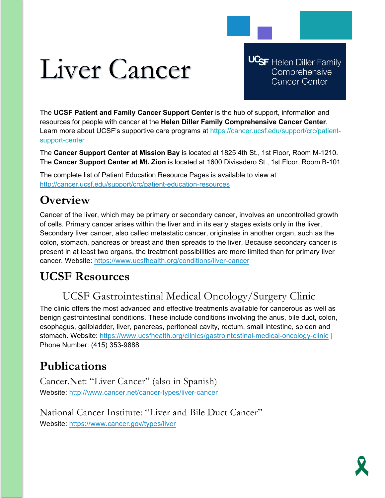# Liver Cancer

**UCSF** Helen Diller Family Comprehensive **Cancer Center** 

The **UCSF Patient and Family Cancer Support Center** is the hub of support, information and resources for people with cancer at the **Helen Diller Family Comprehensive Cancer Center**. Learn more about UCSF's supportive care programs at https://cancer.ucsf.edu/support/crc/patientsupport-center

The **Cancer Support Center at Mission Bay** is located at 1825 4th St., 1st Floor, Room M-1210. The **Cancer Support Center at Mt. Zion** is located at 1600 Divisadero St., 1st Floor, Room B-101.

The complete list of Patient Education Resource Pages is available to view at <http://cancer.ucsf.edu/support/crc/patient-education-resources>

# **Overview**

Cancer of the liver, which may be primary or secondary cancer, involves an uncontrolled growth of cells. Primary cancer arises within the liver and in its early stages exists only in the liver. Secondary liver cancer, also called metastatic cancer, originates in another organ, such as the colon, stomach, pancreas or breast and then spreads to the liver. Because secondary cancer is present in at least two organs, the treatment possibilities are more limited than for primary liver cancer. Website:<https://www.ucsfhealth.org/conditions/liver-cancer>

# **UCSF Resources**

## UCSF Gastrointestinal Medical Oncology/Surgery Clinic

The clinic offers the most advanced and effective treatments available for cancerous as well as benign gastrointestinal conditions. These include conditions involving the anus, bile duct, colon, esophagus, gallbladder, liver, pancreas, peritoneal cavity, rectum, small intestine, spleen and stomach. Website:<https://www.ucsfhealth.org/clinics/gastrointestinal-medical-oncology-clinic> | Phone Number: (415) 353-9888

# **Publications**

Cancer.Net: "Liver Cancer" (also in Spanish) Website:<http://www.cancer.net/cancer-types/liver-cancer>

National Cancer Institute: "Liver and Bile Duct Cancer" Website:<https://www.cancer.gov/types/liver>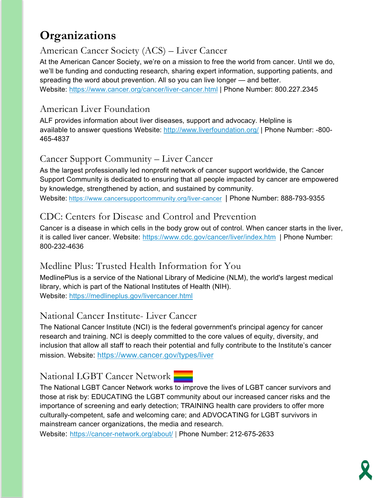## **Organizations**

#### American Cancer Society (ACS) – Liver Cancer

At the American Cancer Society, we're on a mission to free the world from cancer. Until we do, we'll be funding and conducting research, sharing expert information, supporting patients, and spreading the word about prevention. All so you can live longer — and better. Website:<https://www.cancer.org/cancer/liver-cancer.html> | Phone Number: 800.227.2345

#### American Liver Foundation

ALF provides information about liver diseases, support and advocacy. Helpline is available to answer questions Website:<http://www.liverfoundation.org/> | Phone Number: -800- 465-4837

#### Cancer Support Community – Liver Cancer

As the largest professionally led nonprofit network of cancer support worldwide, the Cancer Support Community is dedicated to ensuring that all people impacted by cancer are empowered by knowledge, strengthened by action, and sustained by community.

Website: <https://www.cancersupportcommunity.org/liver-cancer>| Phone Number: 888-793-9355

#### CDC: Centers for Disease and Control and Prevention

Cancer is a disease in which cells in the body grow out of control. When cancer starts in the liver, it is called liver cancer. Website: <https://www.cdc.gov/cancer/liver/index.htm> | Phone Number: 800-232-4636

#### Medline Plus: Trusted Health Information for You

MedlinePlus is a service of the National Library of Medicine (NLM), the world's largest medical library, which is part of the National Institutes of Health (NIH). Website:<https://medlineplus.gov/livercancer.html>

#### National Cancer Institute- Liver Cancer

The National Cancer Institute (NCI) is the federal government's principal agency for cancer research and training. NCI is deeply committed to the core values of equity, diversity, and inclusion that allow all staff to reach their potential and fully contribute to the Institute's cancer mission. Website: <https://www.cancer.gov/types/liver>

#### National LGBT Cancer Network

The National LGBT Cancer Network works to improve the lives of LGBT cancer survivors and those at risk by: EDUCATING the LGBT community about our increased cancer risks and the importance of screening and early detection; TRAINING health care providers to offer more culturally-competent, safe and welcoming care; and ADVOCATING for LGBT survivors in mainstream cancer organizations, the media and research.

Website: <https://cancer-network.org/about/> | Phone Number: 212-675-2633